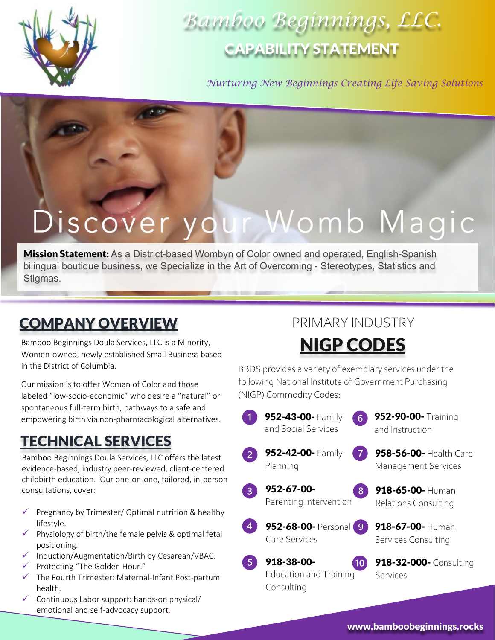

# *Bamboo Beginnings, LLC.* CAPABILITY STATEMENT

*Nurturing New Beginnings Creating Life Saving Solutions*

# Discover your Womb Magic

**Mission Statement:** As a District-based Wombyn of Color owned and operated, English-Spanish bilingual boutique business, we Specialize in the Art of Overcoming - Stereotypes, Statistics and Stigmas.

The company of the company of the

# COMPANY OVERVIEW

Bamboo Beginnings Doula Services, LLC is a Minority, Women-owned, newly established Small Business based in the District of Columbia.

Our mission is to offer Woman of Color and those labeled "low-socio-economic" who desire a "natural" or spontaneous full-term birth, pathways to a safe and empowering birth via non-pharmacological alternatives.

# TECHNICAL SERVICES

Bamboo Beginnings Doula Services, LLC offers the latest evidence-based, industry peer-reviewed, client-centered childbirth education. Our one-on-one, tailored, in-person consultations, cover:

- $\checkmark$  Pregnancy by Trimester/ Optimal nutrition & healthy lifestyle.
- $\checkmark$  Physiology of birth/the female pelvis & optimal fetal positioning.
- $\checkmark$  Induction/Augmentation/Birth by Cesarean/VBAC.
- Protecting "The Golden Hour."
- $\checkmark$  The Fourth Trimester: Maternal-Infant Post-partum health.
- $\checkmark$  Continuous Labor support: hands-on physical/ emotional and self-advocacy support.

## PRIMARY INDUSTRY

# NIGP CODES

BBDS provides a variety of exemplary services under the following National Institute of Government Purchasing (NIGP) Commodity Codes:

| 952-43-00- Family<br>6<br>and Social Services                   | 952-90-00- Training<br>and Instruction               |
|-----------------------------------------------------------------|------------------------------------------------------|
| 952-42-00- Family<br>Planning                                   | 958-56-00- Health Care<br><b>Management Services</b> |
| 952-67-00-<br>8<br>Parenting Intervention                       | 918-65-00- Human<br><b>Relations Consulting</b>      |
| 952-68-00- Personal<br>9<br>Care Services                       | 918-67-00- Human<br>Services Consulting              |
| 918-38-00-<br>10<br><b>Education and Training</b><br>Consulting | 918-32-000- Consulting<br>Services                   |
|                                                                 |                                                      |

www.bamboobeginnings.rocks